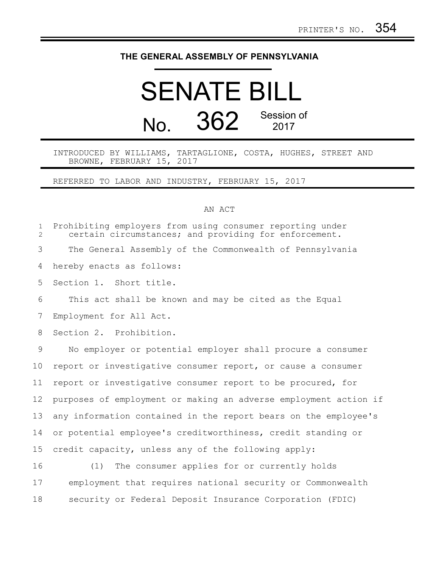## **THE GENERAL ASSEMBLY OF PENNSYLVANIA**

## SENATE BILL No. 362 Session of 2017

INTRODUCED BY WILLIAMS, TARTAGLIONE, COSTA, HUGHES, STREET AND BROWNE, FEBRUARY 15, 2017

REFERRED TO LABOR AND INDUSTRY, FEBRUARY 15, 2017

## AN ACT

| $\mathbf{1}$<br>2 | Prohibiting employers from using consumer reporting under<br>certain circumstances; and providing for enforcement. |
|-------------------|--------------------------------------------------------------------------------------------------------------------|
| 3                 | The General Assembly of the Commonwealth of Pennsylvania                                                           |
| 4                 | hereby enacts as follows:                                                                                          |
| 5                 | Section 1. Short title.                                                                                            |
| 6                 | This act shall be known and may be cited as the Equal                                                              |
| 7                 | Employment for All Act.                                                                                            |
| 8                 | Section 2. Prohibition.                                                                                            |
| 9                 | No employer or potential employer shall procure a consumer                                                         |
| 10                | report or investigative consumer report, or cause a consumer                                                       |
| 11                | report or investigative consumer report to be procured, for                                                        |
| 12                | purposes of employment or making an adverse employment action if                                                   |
| 13                | any information contained in the report bears on the employee's                                                    |
| 14                | or potential employee's creditworthiness, credit standing or                                                       |
| 15                | credit capacity, unless any of the following apply:                                                                |
| 16                | The consumer applies for or currently holds<br>(1)                                                                 |
| 17                | employment that requires national security or Commonwealth                                                         |
| 18                | security or Federal Deposit Insurance Corporation (FDIC)                                                           |